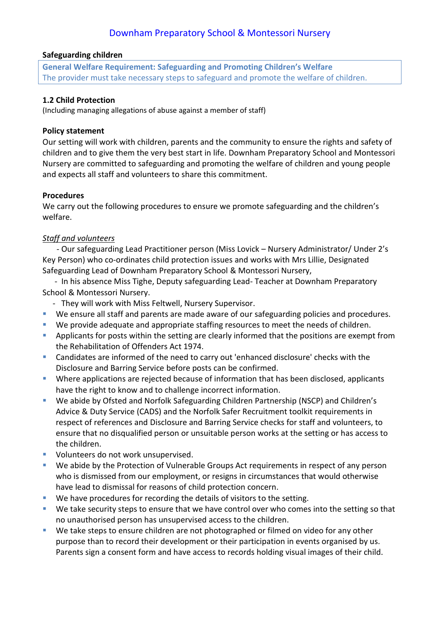#### **Safeguarding children**

**General Welfare Requirement: Safeguarding and Promoting Children's Welfare** The provider must take necessary steps to safeguard and promote the welfare of children.

### **1.2 Child Protection**

(Including managing allegations of abuse against a member of staff)

### **Policy statement**

Our setting will work with children, parents and the community to ensure the rights and safety of children and to give them the very best start in life. Downham Preparatory School and Montessori Nursery are committed to safeguarding and promoting the welfare of children and young people and expects all staff and volunteers to share this commitment.

### **Procedures**

We carry out the following procedures to ensure we promote safeguarding and the children's welfare.

## *Staff and volunteers*

 - Our safeguarding Lead Practitioner person (Miss Lovick – Nursery Administrator/ Under 2's Key Person) who co-ordinates child protection issues and works with Mrs Lillie, Designated Safeguarding Lead of Downham Preparatory School & Montessori Nursery,

 - In his absence Miss Tighe, Deputy safeguarding Lead- Teacher at Downham Preparatory School & Montessori Nursery.

- They will work with Miss Feltwell, Nursery Supervisor.
- We ensure all staff and parents are made aware of our safeguarding policies and procedures.
- We provide adequate and appropriate staffing resources to meet the needs of children.
- **E** Applicants for posts within the setting are clearly informed that the positions are exempt from the Rehabilitation of Offenders Act 1974.
- Candidates are informed of the need to carry out 'enhanced disclosure' checks with the Disclosure and Barring Service before posts can be confirmed.
- **E** Where applications are rejected because of information that has been disclosed, applicants have the right to know and to challenge incorrect information.
- We abide by Ofsted and Norfolk Safeguarding Children Partnership (NSCP) and Children's Advice & Duty Service (CADS) and the Norfolk Safer Recruitment toolkit requirements in respect of references and Disclosure and Barring Service checks for staff and volunteers, to ensure that no disqualified person or unsuitable person works at the setting or has access to the children.
- Volunteers do not work unsupervised.
- We abide by the Protection of Vulnerable Groups Act requirements in respect of any person who is dismissed from our employment, or resigns in circumstances that would otherwise have lead to dismissal for reasons of child protection concern.
- We have procedures for recording the details of visitors to the setting.
- We take security steps to ensure that we have control over who comes into the setting so that no unauthorised person has unsupervised access to the children.
- We take steps to ensure children are not photographed or filmed on video for any other purpose than to record their development or their participation in events organised by us. Parents sign a consent form and have access to records holding visual images of their child.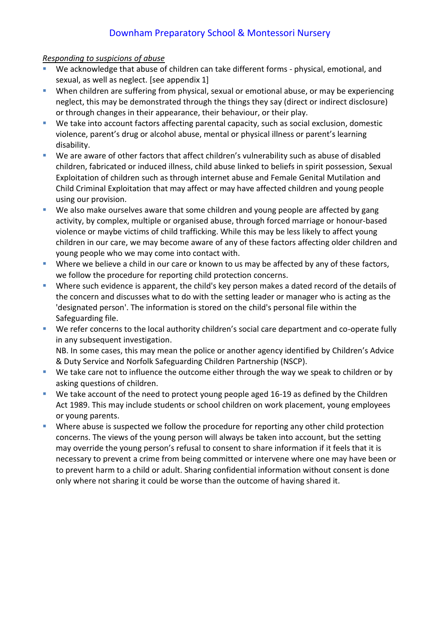### *Responding to suspicions of abuse*

- We acknowledge that abuse of children can take different forms physical, emotional, and sexual, as well as neglect. [see appendix 1]
- When children are suffering from physical, sexual or emotional abuse, or may be experiencing neglect, this may be demonstrated through the things they say (direct or indirect disclosure) or through changes in their appearance, their behaviour, or their play.
- We take into account factors affecting parental capacity, such as social exclusion, domestic violence, parent's drug or alcohol abuse, mental or physical illness or parent's learning disability.
- We are aware of other factors that affect children's vulnerability such as abuse of disabled children, fabricated or induced illness, child abuse linked to beliefs in spirit possession, Sexual Exploitation of children such as through internet abuse and Female Genital Mutilation and Child Criminal Exploitation that may affect or may have affected children and young people using our provision.
- We also make ourselves aware that some children and young people are affected by gang activity, by complex, multiple or organised abuse, through forced marriage or honour-based violence or maybe victims of child trafficking. While this may be less likely to affect young children in our care, we may become aware of any of these factors affecting older children and young people who we may come into contact with.
- **EXECT** Where we believe a child in our care or known to us may be affected by any of these factors, we follow the procedure for reporting child protection concerns.
- **E** Where such evidence is apparent, the child's key person makes a dated record of the details of the concern and discusses what to do with the setting leader or manager who is acting as the 'designated person'. The information is stored on the child's personal file within the Safeguarding file.
- We refer concerns to the local authority children's social care department and co-operate fully in any subsequent investigation.

NB. In some cases, this may mean the police or another agency identified by Children's Advice & Duty Service and Norfolk Safeguarding Children Partnership (NSCP).

- We take care not to influence the outcome either through the way we speak to children or by asking questions of children.
- We take account of the need to protect young people aged 16-19 as defined by the Children Act 1989. This may include students or school children on work placement, young employees or young parents.
- **E** Where abuse is suspected we follow the procedure for reporting any other child protection concerns. The views of the young person will always be taken into account, but the setting may override the young person's refusal to consent to share information if it feels that it is necessary to prevent a crime from being committed or intervene where one may have been or to prevent harm to a child or adult. Sharing confidential information without consent is done only where not sharing it could be worse than the outcome of having shared it.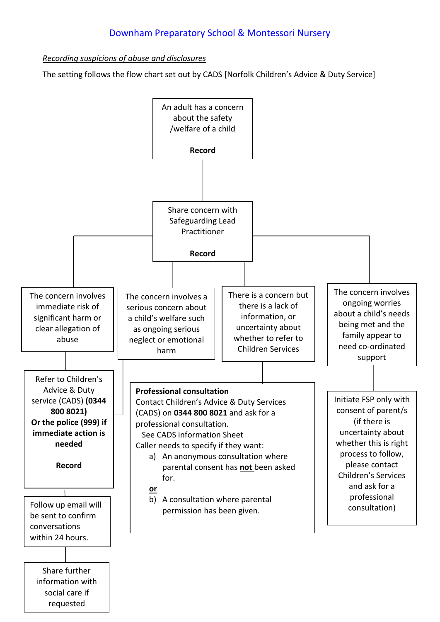*Recording suspicions of abuse and disclosures*

The setting follows the flow chart set out by CADS [Norfolk Children's Advice & Duty Service]

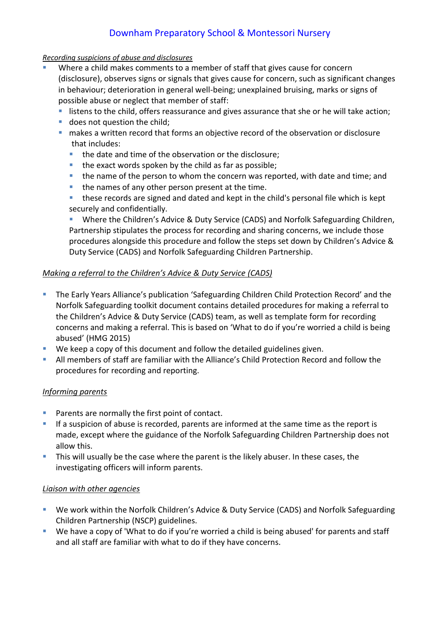### *Recording suspicions of abuse and disclosures*

- Where a child makes comments to a member of staff that gives cause for concern (disclosure), observes signs or signals that gives cause for concern, such as significant changes in behaviour; deterioration in general well-being; unexplained bruising, marks or signs of possible abuse or neglect that member of staff:
	- **E** listens to the child, offers reassurance and gives assurance that she or he will take action;
	- does not question the child;
	- makes a written record that forms an objective record of the observation or disclosure that includes:
		- the date and time of the observation or the disclosure;
		- the exact words spoken by the child as far as possible;
		- the name of the person to whom the concern was reported, with date and time; and
		- the names of any other person present at the time.
		- these records are signed and dated and kept in the child's personal file which is kept securely and confidentially.

Where the Children's Advice & Duty Service (CADS) and Norfolk Safeguarding Children, Partnership stipulates the process for recording and sharing concerns, we include those procedures alongside this procedure and follow the steps set down by Children's Advice & Duty Service (CADS) and Norfolk Safeguarding Children Partnership.

## *Making a referral to the Children's Advice & Duty Service (CADS)*

- **The Early Years Alliance's publication 'Safeguarding Children Child Protection Record' and the** Norfolk Safeguarding toolkit document contains detailed procedures for making a referral to the Children's Advice & Duty Service (CADS) team, as well as template form for recording concerns and making a referral. This is based on 'What to do if you're worried a child is being abused' (HMG 2015)
- We keep a copy of this document and follow the detailed guidelines given.
- All members of staff are familiar with the Alliance's Child Protection Record and follow the procedures for recording and reporting.

## *Informing parents*

- Parents are normally the first point of contact.
- **•** If a suspicion of abuse is recorded, parents are informed at the same time as the report is made, except where the guidance of the Norfolk Safeguarding Children Partnership does not allow this.
- **.** This will usually be the case where the parent is the likely abuser. In these cases, the investigating officers will inform parents.

## *Liaison with other agencies*

- We work within the Norfolk Children's Advice & Duty Service (CADS) and Norfolk Safeguarding Children Partnership (NSCP) guidelines.
- We have a copy of 'What to do if you're worried a child is being abused' for parents and staff and all staff are familiar with what to do if they have concerns.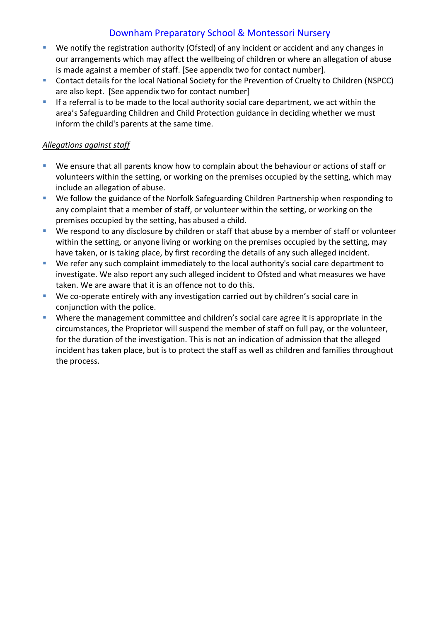- We notify the registration authority (Ofsted) of any incident or accident and any changes in our arrangements which may affect the wellbeing of children or where an allegation of abuse is made against a member of staff. [See appendix two for contact number].
- Contact details for the local National Society for the Prevention of Cruelty to Children (NSPCC) are also kept. [See appendix two for contact number]
- **EXTE:** If a referral is to be made to the local authority social care department, we act within the area's Safeguarding Children and Child Protection guidance in deciding whether we must inform the child's parents at the same time.

## *Allegations against staff*

- We ensure that all parents know how to complain about the behaviour or actions of staff or volunteers within the setting, or working on the premises occupied by the setting, which may include an allegation of abuse.
- We follow the guidance of the Norfolk Safeguarding Children Partnership when responding to any complaint that a member of staff, or volunteer within the setting, or working on the premises occupied by the setting, has abused a child.
- We respond to any disclosure by children or staff that abuse by a member of staff or volunteer within the setting, or anyone living or working on the premises occupied by the setting, may have taken, or is taking place, by first recording the details of any such alleged incident.
- We refer any such complaint immediately to the local authority's social care department to investigate. We also report any such alleged incident to Ofsted and what measures we have taken. We are aware that it is an offence not to do this.
- We co-operate entirely with any investigation carried out by children's social care in conjunction with the police.
- Where the management committee and children's social care agree it is appropriate in the circumstances, the Proprietor will suspend the member of staff on full pay, or the volunteer, for the duration of the investigation. This is not an indication of admission that the alleged incident has taken place, but is to protect the staff as well as children and families throughout the process.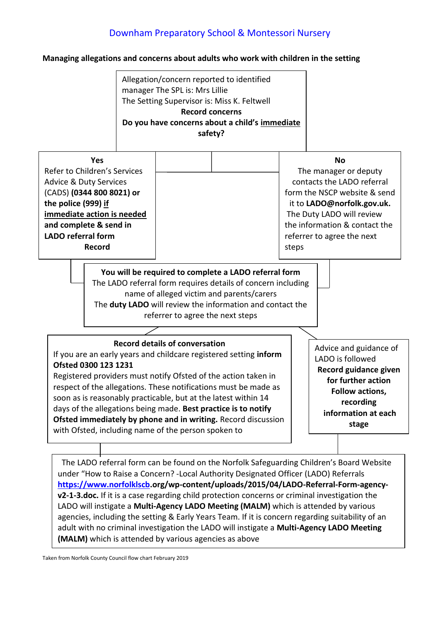#### **Managing allegations and concerns about adults who work with children in the setting**

Allegation/concern reported to identified manager The SPL is: Mrs Lillie The Setting Supervisor is: Miss K. Feltwell **Record concerns Do you have concerns about a child's immediate safety?**

| <b>Yes</b><br>Refer to Children's Services<br><b>Advice &amp; Duty Services</b><br>(CADS) (0344 800 8021) or<br>the police (999) if<br>immediate action is needed<br>and complete & send in<br><b>LADO</b> referral form<br>Record |                                                                                                                                                                 | <b>No</b><br>The manager or deputy<br>contacts the LADO referral<br>form the NSCP website & send<br>it to LADO@norfolk.gov.uk.<br>The Duty LADO will review<br>the information & contact the<br>referrer to agree the next<br>steps |
|------------------------------------------------------------------------------------------------------------------------------------------------------------------------------------------------------------------------------------|-----------------------------------------------------------------------------------------------------------------------------------------------------------------|-------------------------------------------------------------------------------------------------------------------------------------------------------------------------------------------------------------------------------------|
|                                                                                                                                                                                                                                    | You will be required to complete a LADO referral form<br>The LADO referral form requires details of concern including<br>and a shared victim and parants/carers |                                                                                                                                                                                                                                     |

name of alleged victim and parents/carers The **duty LADO** will review the information and contact the referrer to agree the next steps

#### **Record details of conversation**

If you are an early years and childcare registered setting **inform Ofsted 0300 123 1231**

Registered providers must notify Ofsted of the action taken in respect of the allegations. These notifications must be made as soon as is reasonably practicable, but at the latest within 14 days of the allegations being made. **Best practice is to notify Ofsted immediately by phone and in writing.** Record discussion with Ofsted, including name of the person spoken to

Advice and guidance of LADO is followed **Record guidance given for further action Follow actions, recording information at each stage**

The LADO referral form can be found on the Norfolk Safeguarding Children's Board Website under "How to Raise a Concern? -Local Authority Designated Officer (LADO) Referrals **[https://www.norfolklscb.](https://www.norfolklscb/)org/wp-content/uploads/2015/04/LADO-Referral-Form-agencyv2-1-3.doc.** If it is a case regarding child protection concerns or criminal investigation the LADO will instigate a **Multi-Agency LADO Meeting (MALM)** which is attended by various agencies, including the setting & Early Years Team. If it is concern regarding suitability of an adult with no criminal investigation the LADO will instigate a **Multi-Agency LADO Meeting (MALM)** which is attended by various agencies as above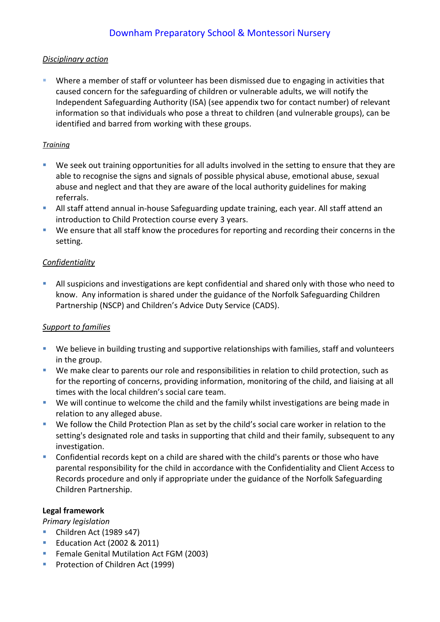# *Disciplinary action*

**E** Where a member of staff or volunteer has been dismissed due to engaging in activities that caused concern for the safeguarding of children or vulnerable adults, we will notify the Independent Safeguarding Authority (ISA) (see appendix two for contact number) of relevant information so that individuals who pose a threat to children (and vulnerable groups), can be identified and barred from working with these groups.

# *Training*

- We seek out training opportunities for all adults involved in the setting to ensure that they are able to recognise the signs and signals of possible physical abuse, emotional abuse, sexual abuse and neglect and that they are aware of the local authority guidelines for making referrals.
- **E** All staff attend annual in-house Safeguarding update training, each year. All staff attend an introduction to Child Protection course every 3 years.
- We ensure that all staff know the procedures for reporting and recording their concerns in the setting.

# *Confidentiality*

**EXTENDI** All suspicions and investigations are kept confidential and shared only with those who need to know. Any information is shared under the guidance of the Norfolk Safeguarding Children Partnership (NSCP) and Children's Advice Duty Service (CADS).

# *Support to families*

- We believe in building trusting and supportive relationships with families, staff and volunteers in the group.
- We make clear to parents our role and responsibilities in relation to child protection, such as for the reporting of concerns, providing information, monitoring of the child, and liaising at all times with the local children's social care team.
- We will continue to welcome the child and the family whilst investigations are being made in relation to any alleged abuse.
- We follow the Child Protection Plan as set by the child's social care worker in relation to the setting's designated role and tasks in supporting that child and their family, subsequent to any investigation.
- Confidential records kept on a child are shared with the child's parents or those who have parental responsibility for the child in accordance with the Confidentiality and Client Access to Records procedure and only if appropriate under the guidance of the Norfolk Safeguarding Children Partnership.

# **Legal framework**

*Primary legislation*

- Children Act (1989 s47)
- Education Act (2002 & 2011)
- Female Genital Mutilation Act FGM (2003)
- **•** Protection of Children Act (1999)